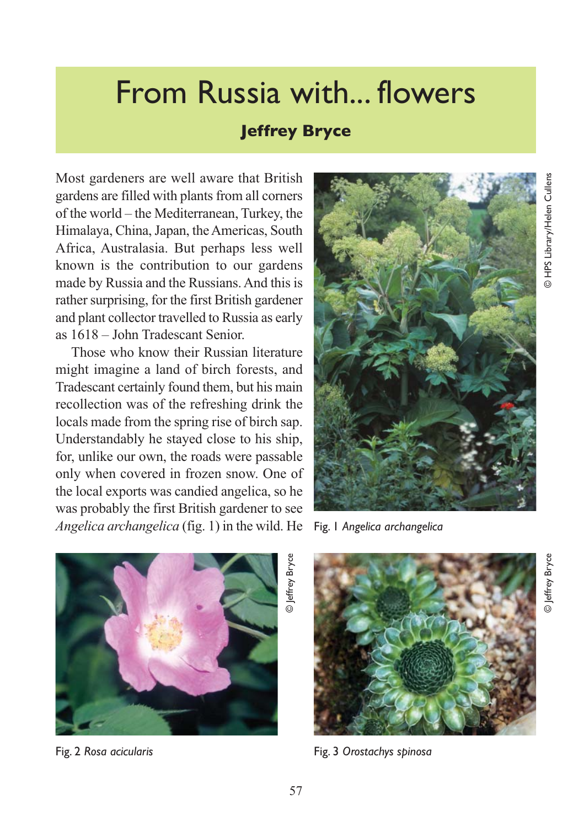## From Russia with... flowers

## **Jeffrey Bryce**

Most gardeners are well aware that British gardens are filled with plants from all corners of the world – the Mediterranean, Turkey, the Himalaya, China, Japan, the Americas, South Africa, Australasia. But perhaps less well known is the contribution to our gardens made by Russia and the Russians. And this is rather surprising, for the first British gardener and plant collector travelled to Russia as early as 1618 – John Tradescant Senior.

Those who know their Russian literature might imagine a land of birch forests, and Tradescant certainly found them, but his main recollection was of the refreshing drink the locals made from the spring rise of birch sap. Understandably he stayed close to his ship, for, unlike our own, the roads were passable only when covered in frozen snow. One of the local exports was candied angelica, so he was probably the first British gardener to see *Angelica archangelica* (fig. 1) in the wild. He



Fig. 1 *Angelica archangelica* 



Fig. 2 *Rosa acicularis*

Fig. 3 *Orostachys spinosa*

© Jeffrey Bryce

Jeffrey Bryce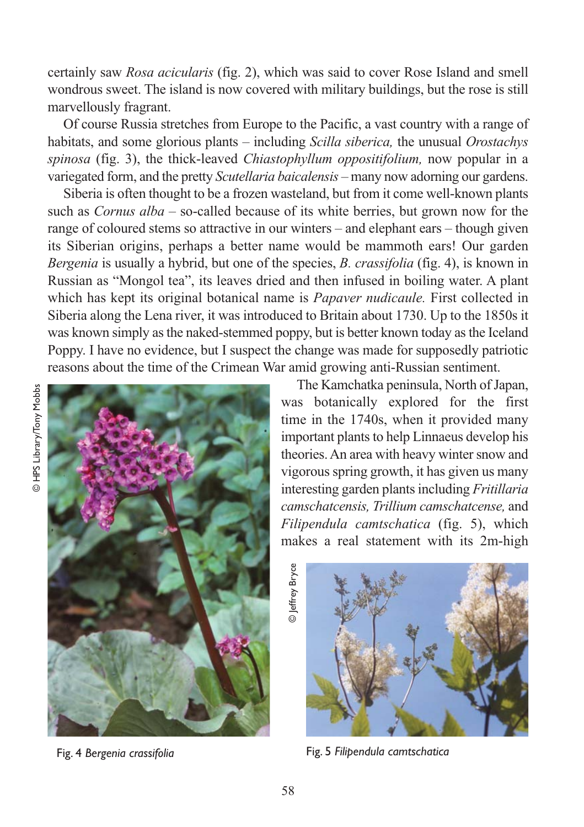certainly saw *Rosa acicularis* (fig. 2), which was said to cover Rose Island and smell wondrous sweet. The island is now covered with military buildings, but the rose is still marvellously fragrant.

Of course Russia stretches from Europe to the Pacific, a vast country with a range of habitats, and some glorious plants – including *Scilla siberica,* the unusual *Orostachys spinosa* (fig. 3), the thick-leaved *Chiastophyllum oppositifolium,* now popular in a variegated form, and the pretty *Scutellaria baicalensis –* many now adorning our gardens.

Siberia is often thought to be a frozen wasteland, but from it come well-known plants such as *Cornus alba –* so-called because of its white berries, but grown now for the range of coloured stems so attractive in our winters – and elephant ears – though given its Siberian origins, perhaps a better name would be mammoth ears! Our garden *Bergenia* is usually a hybrid, but one of the species, *B. crassifolia* (fig. 4), is known in Russian as "Mongol tea", its leaves dried and then infused in boiling water. A plant which has kept its original botanical name is *Papaver nudicaule.* First collected in Siberia along the Lena river, it was introduced to Britain about 1730. Up to the 1850s it was known simply as the naked-stemmed poppy, but is better known today as the Iceland Poppy. I have no evidence, but I suspect the change was made for supposedly patriotic reasons about the time of the Crimean War amid growing anti-Russian sentiment.



Fig. 4 *Bergenia crassifolia* 

The Kamchatka peninsula, North of Japan, was botanically explored for the first time in the 1740s, when it provided many important plants to help Linnaeus develop his theories. An area with heavy winter snow and vigorous spring growth, it has given us many interesting garden plants including *Fritillaria camschatcensis, Trillium camschatcense,* and *Filipendula camtschatica* (fig. 5), which makes a real statement with its 2m-high

© Jeffrey Bryce © Jeffrey Bryce



Fig. 5 *Filipendula camtschatica*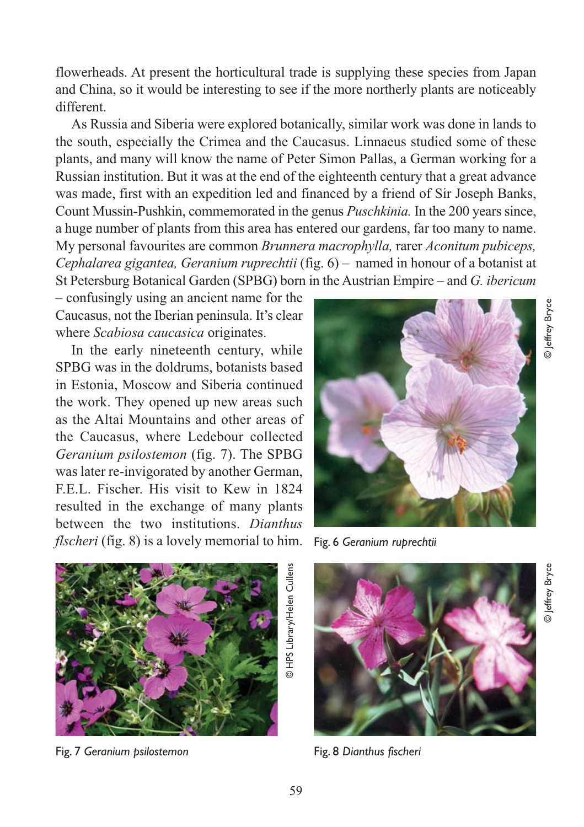flowerheads. At present the horticultural trade is supplying these species from Japan and China, so it would be interesting to see if the more northerly plants are noticeably different.

As Russia and Siberia were explored botanically, similar work was done in lands to the south, especially the Crimea and the Caucasus. Linnaeus studied some of these plants, and many will know the name of Peter Simon Pallas, a German working for a Russian institution. But it was at the end of the eighteenth century that a great advance was made, first with an expedition led and financed by a friend of Sir Joseph Banks, Count Mussin-Pushkin, commemorated in the genus *Puschkinia.* In the 200 years since, a huge number of plants from this area has entered our gardens, far too many to name. My personal favourites are common *Brunnera macrophylla,* rarer *Aconitum pubiceps, Cephalarea gigantea, Geranium ruprechtii* (fig. 6) – named in honour of a botanist at St Petersburg Botanical Garden (SPBG) born in the Austrian Empire – and *G. ibericum*

*–* confusingly using an ancient name for the Caucasus, not the Iberian peninsula. It's clear where *Scabiosa caucasica* originates.

In the early nineteenth century, while SPBG was in the doldrums, botanists based in Estonia, Moscow and Siberia continued the work. They opened up new areas such as the Altai Mountains and other areas of the Caucasus, where Ledebour collected *Geranium psilostemon* (fig. 7). The SPBG was later re-invigorated by another German, F.E.L. Fischer. His visit to Kew in 1824 resulted in the exchange of many plants between the two institutions. *Dianthus flscheri* (fig. 8) is a lovely memorial to him. Fig. 6 *Geranium ruprechtii* 





Fig. 7 *Geranium psilostemon*



Fig. 8 *Dianthus fischeri*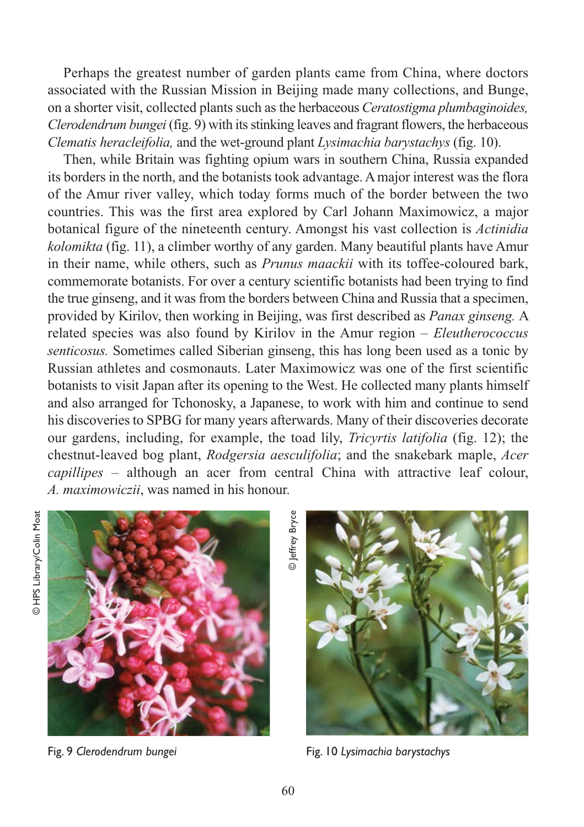Perhaps the greatest number of garden plants came from China, where doctors associated with the Russian Mission in Beijing made many collections, and Bunge, on a shorter visit, collected plants such as the herbaceous *Ceratostigma plumbaginoides, Clerodendrum bungei* (fig. 9) with its stinking leaves and fragrant flowers, the herbaceous *Clematis heracleifolia,* and the wet-ground plant *Lysimachia barystachys* (fig. 10).

Then, while Britain was fighting opium wars in southern China, Russia expanded its borders in the north, and the botanists took advantage. A major interest was the flora of the Amur river valley, which today forms much of the border between the two countries. This was the first area explored by Carl Johann Maximowicz, a major botanical figure of the nineteenth century. Amongst his vast collection is *Actinidia kolomikta* (fig. 11), a climber worthy of any garden. Many beautiful plants have Amur in their name, while others, such as *Prunus maackii* with its toffee-coloured bark, commemorate botanists. For over a century scientific botanists had been trying to find the true ginseng, and it was from the borders between China and Russia that a specimen, provided by Kirilov, then working in Beijing, was first described as *Panax ginseng.* A related species was also found by Kirilov in the Amur region – *Eleutherococcus senticosus.* Sometimes called Siberian ginseng, this has long been used as a tonic by Russian athletes and cosmonauts. Later Maximowicz was one of the first scientific botanists to visit Japan after its opening to the West. He collected many plants himself and also arranged for Tchonosky, a Japanese, to work with him and continue to send his discoveries to SPBG for many years afterwards. Many of their discoveries decorate our gardens, including, for example, the toad lily, *Tricyrtis latifolia* (fig. 12); the chestnut-leaved bog plant, *Rodgersia aesculifolia*; and the snakebark maple, *Acer capillipes –* although an acer from central China with attractive leaf colour, *A. maximowiczii*, was named in his honour.



Fig. 9 *Clerodendrum bungei* 

© Jeffrey Bryceeffrey Bryce



Fig. 10 *Lysimachia barystachys*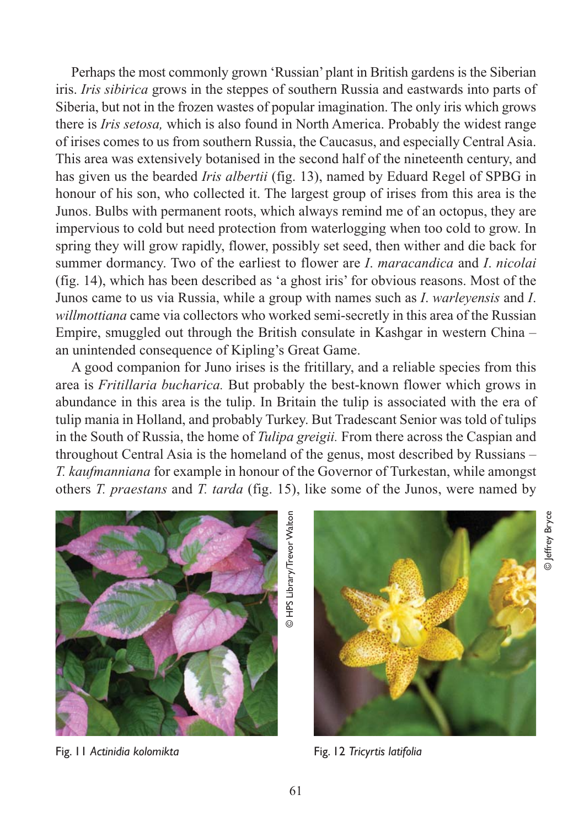Perhaps the most commonly grown 'Russian' plant in British gardens is the Siberian iris. *Iris sibirica* grows in the steppes of southern Russia and eastwards into parts of Siberia, but not in the frozen wastes of popular imagination. The only iris which grows there is *Iris setosa,* which is also found in North America. Probably the widest range of irises comes to us from southern Russia, the Caucasus, and especially Central Asia. This area was extensively botanised in the second half of the nineteenth century, and has given us the bearded *Iris albertii* (fig. 13), named by Eduard Regel of SPBG in honour of his son, who collected it. The largest group of irises from this area is the Junos. Bulbs with permanent roots, which always remind me of an octopus, they are impervious to cold but need protection from waterlogging when too cold to grow. In spring they will grow rapidly, flower, possibly set seed, then wither and die back for summer dormancy. Two of the earliest to flower are *I*. *maracandica* and *I*. *nicolai* (fig. 14), which has been described as 'a ghost iris' for obvious reasons. Most of the Junos came to us via Russia, while a group with names such as *I*. *warleyensis* and *I*. *willmottiana* came via collectors who worked semi-secretly in this area of the Russian Empire, smuggled out through the British consulate in Kashgar in western China – an unintended consequence of Kipling's Great Game.

A good companion for Juno irises is the fritillary, and a reliable species from this area is *Fritillaria bucharica.* But probably the best-known flower which grows in abundance in this area is the tulip. In Britain the tulip is associated with the era of tulip mania in Holland, and probably Turkey. But Tradescant Senior was told of tulips in the South of Russia, the home of *Tulipa greigii.* From there across the Caspian and throughout Central Asia is the homeland of the genus, most described by Russians – *T. kaufmanniana* for example in honour of the Governor of Turkestan, while amongst others *T. praestans* and *T. tarda* (fig. 15), like some of the Junos, were named by

61



Fig. 11 *Actinidia kolomikta*



Fig. 12 *Tricyrtis latifolia*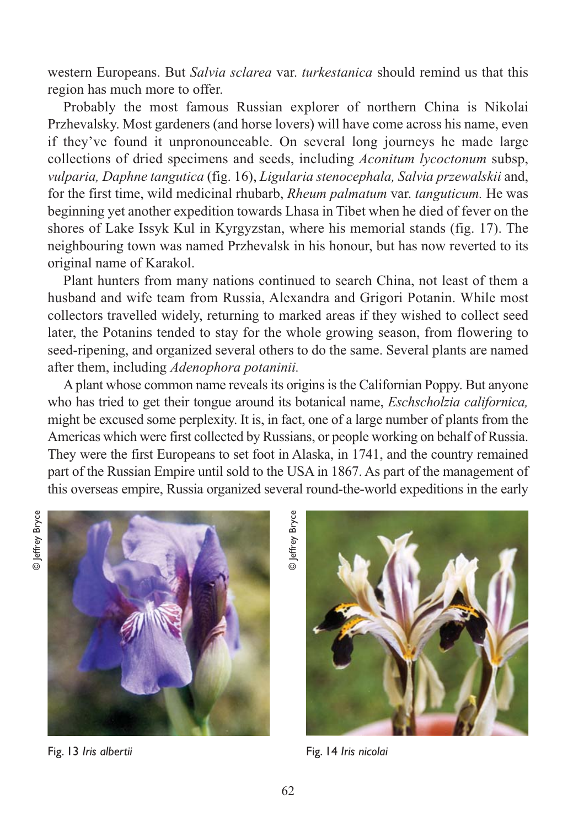western Europeans. But *Salvia sclarea* var. *turkestanica* should remind us that this region has much more to offer.

Probably the most famous Russian explorer of northern China is Nikolai Przhevalsky. Most gardeners (and horse lovers) will have come across his name, even if they've found it unpronounceable. On several long journeys he made large collections of dried specimens and seeds, including *Aconitum lycoctonum* subsp, *vulparia, Daphne tangutica* (fig. 16), *Ligularia stenocephala, Salvia przewalskii* and, for the first time, wild medicinal rhubarb, *Rheum palmatum* var. *tanguticum.* He was beginning yet another expedition towards Lhasa in Tibet when he died of fever on the shores of Lake Issyk Kul in Kyrgyzstan, where his memorial stands (fig. 17). The neighbouring town was named Przhevalsk in his honour, but has now reverted to its original name of Karakol.

Plant hunters from many nations continued to search China, not least of them a husband and wife team from Russia, Alexandra and Grigori Potanin. While most collectors travelled widely, returning to marked areas if they wished to collect seed later, the Potanins tended to stay for the whole growing season, from flowering to seed-ripening, and organized several others to do the same. Several plants are named after them, including *Adenophora potaninii.*

A plant whose common name reveals its origins is the Californian Poppy. But anyone who has tried to get their tongue around its botanical name, *Eschscholzia californica,* might be excused some perplexity. It is, in fact, one of a large number of plants from the Americas which were first collected by Russians, or people working on behalf of Russia. They were the first Europeans to set foot in Alaska, in 1741, and the country remained part of the Russian Empire until sold to the USA in 1867. As part of the management of this overseas empire, Russia organized several round-the-world expeditions in the early



Fig. 13 *Iris albertii*

© Jeffrey Bryceeffrey Bryce



Fig. 14 *Iris nicolai*